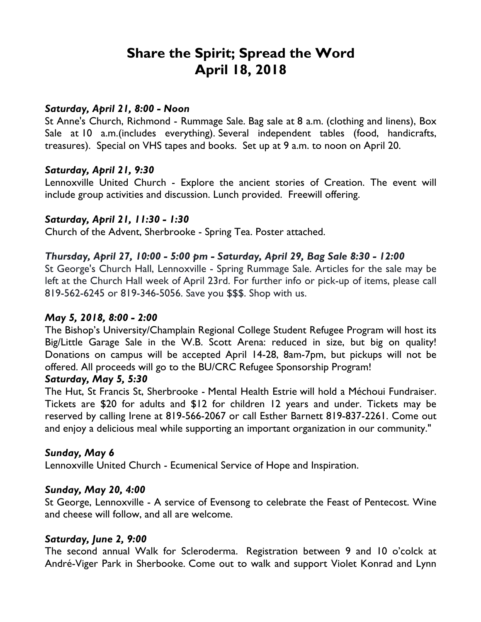# **Share the Spirit; Spread the Word April 18, 2018**

#### *Saturday, April 21, 8:00 - Noon*

St Anne's Church, Richmond - Rummage Sale. Bag sale at 8 a.m. (clothing and linens), Box Sale at 10 a.m.(includes everything). Several independent tables (food, handicrafts, treasures). Special on VHS tapes and books. Set up at 9 a.m. to noon on April 20.

#### *Saturday, April 21, 9:30*

Lennoxville United Church - Explore the ancient stories of Creation. The event will include group activities and discussion. Lunch provided. Freewill offering.

## *Saturday, April 21, 11:30 - 1:30*

Church of the Advent, Sherbrooke - Spring Tea. Poster attached.

#### *Thursday, April 27, 10:00 - 5:00 pm - Saturday, April 29, Bag Sale 8:30 - 12:00*

St George's Church Hall, Lennoxville - Spring Rummage Sale. Articles for the sale may be left at the Church Hall week of April 23rd. For further info or pick-up of items, please call 819-562-6245 or 819-346-5056. Save you \$\$\$. Shop with us.

#### *May 5, 2018, 8:00 - 2:00*

The Bishop's University/Champlain Regional College Student Refugee Program will host its Big/Little Garage Sale in the W.B. Scott Arena: reduced in size, but big on quality! Donations on campus will be accepted April 14-28, 8am-7pm, but pickups will not be offered. All proceeds will go to the BU/CRC Refugee Sponsorship Program!

#### *Saturday, May 5, 5:30*

The Hut, St Francis St, Sherbrooke - Mental Health Estrie will hold a Méchoui Fundraiser. Tickets are \$20 for adults and \$12 for children 12 years and under. Tickets may be reserved by calling Irene at 819-566-2067 or call Esther Barnett 819-837-2261. Come out and enjoy a delicious meal while supporting an important organization in our community."

#### *Sunday, May 6*

Lennoxville United Church - Ecumenical Service of Hope and Inspiration.

#### *Sunday, May 20, 4:00*

St George, Lennoxville - A service of Evensong to celebrate the Feast of Pentecost. Wine and cheese will follow, and all are welcome.

#### *Saturday, June 2, 9:00*

The second annual Walk for Scleroderma. Registration between 9 and 10 o'colck at André-Viger Park in Sherbooke. Come out to walk and support Violet Konrad and Lynn